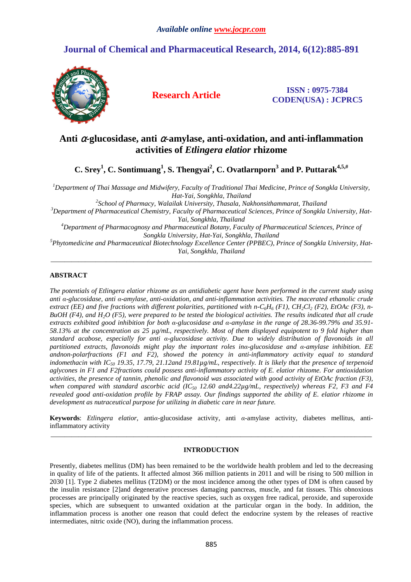# **Journal of Chemical and Pharmaceutical Research, 2014, 6(12):885-891**



**Research Article ISSN : 0975-7384 CODEN(USA) : JCPRC5**

# **Anti** α**-glucosidase, anti** α**-amylase, anti-oxidation, and anti-inflammation activities of** *Etlingera elatior* **rhizome**

**C. Srey<sup>1</sup> , C. Sontimuang<sup>1</sup> , S. Thengyai<sup>2</sup> , C. Ovatlarnporn<sup>3</sup> and P. Puttarak4,5,#** 

*<sup>1</sup>Department of Thai Massage and Midwifery, Faculty of Traditional Thai Medicine, Prince of Songkla University, Hat-Yai, Songkhla, Thailand* 

*2 School of Pharmacy, Walailak University, Thasala, Nakhonsithammarat, Thailand <sup>3</sup>Department of Pharmaceutical Chemistry, Faculty of Pharmaceutical Sciences, Prince of Songkla University, Hat-Yai, Songkhla, Thailand <sup>4</sup>Department of Pharmacognosy and Pharmaceutical Botany, Faculty of Pharmaceutical Sciences, Prince of Songkla University, Hat-Yai, Songkhla, Thailand* 

*<sup>5</sup>Phytomedicine and Pharmaceutical Biotechnology Excellence Center (PPBEC), Prince of Songkla University, Hat-Yai, Songkhla, Thailand*  \_\_\_\_\_\_\_\_\_\_\_\_\_\_\_\_\_\_\_\_\_\_\_\_\_\_\_\_\_\_\_\_\_\_\_\_\_\_\_\_\_\_\_\_\_\_\_\_\_\_\_\_\_\_\_\_\_\_\_\_\_\_\_\_\_\_\_\_\_\_\_\_\_\_\_\_\_\_\_\_\_\_\_\_\_\_\_\_\_\_\_\_\_

## **ABSTRACT**

*The potentials of Etlingera elatior rhizome as an antidiabetic agent have been performed in the current study using anti α-glucosidase, anti α-amylase, anti-oxidation, and anti-inflammation activities. The macerated ethanolic crude extract (EE) and five fractions with different polarities, partitioned with n-C<sub>6</sub>H<sub>6</sub> (F1), CH<sub>2</sub>Cl<sub>2</sub> (F2), EtOAc (F3), n-BuOH (F4), and H2O (F5), were prepared to be tested the biological activities. The results indicated that all crude extracts exhibited good inhibition for both α-glucosidase and α-amylase in the range of 28.36-99.79% and 35.91- 58.13% at the concentration as 25 µg/mL, respectively. Most of them displayed equipotent to 9 fold higher than standard acabose, especially for anti α-glucosidase activity. Due to widely distribution of flavonoids in all partitioned extracts, flavonoids might play the important roles inα-glucosidase and α-amylase inhibition. EE andnon-polarfractions (F1 and F2), showed the potency in anti-inflammatory activity equal to standard indomethacin with IC50 19.35, 17.79, 21.12and 19.81µg/mL, respectively. It is likely that the presence of terpenoid aglycones in F1 and F2fractions could possess anti-inflammatory activity of E. elatior rhizome. For antioxidation activities, the presence of tannin, phenolic and flavonoid was associated with good activity of EtOAc fraction (F3), when compared with standard ascorbic acid (IC50 12.60 and4.22µg/mL, respectively) whereas F2, F3 and F4 revealed good anti-oxidation profile by FRAP assay. Our findings supported the ability of E. elatior rhizome in development as nutraceutical purpose for utilizing in diabetic care in near future.* 

**Keywords**: *Etlingera elatior*, anti*α*-glucosidase activity, anti *α*-amylase activity, diabetes mellitus, antiinflammatory activity \_\_\_\_\_\_\_\_\_\_\_\_\_\_\_\_\_\_\_\_\_\_\_\_\_\_\_\_\_\_\_\_\_\_\_\_\_\_\_\_\_\_\_\_\_\_\_\_\_\_\_\_\_\_\_\_\_\_\_\_\_\_\_\_\_\_\_\_\_\_\_\_\_\_\_\_\_\_\_\_\_\_\_\_\_\_\_\_\_\_\_\_\_

#### **INTRODUCTION**

Presently, diabetes mellitus (DM) has been remained to be the worldwide health problem and led to the decreasing in quality of life of the patients. It affected almost 366 million patients in 2011 and will be rising to 500 million in 2030 [1]. Type 2 diabetes mellitus (T2DM) or the most incidence among the other types of DM is often caused by the insulin resistance [2]and degenerative processes damaging pancreas, muscle, and fat tissues. This obnoxious processes are principally originated by the reactive species, such as oxygen free radical, peroxide, and superoxide species, which are subsequent to unwanted oxidation at the particular organ in the body. In addition, the inflammation process is another one reason that could defect the endocrine system by the releases of reactive intermediates, nitric oxide (NO), during the inflammation process.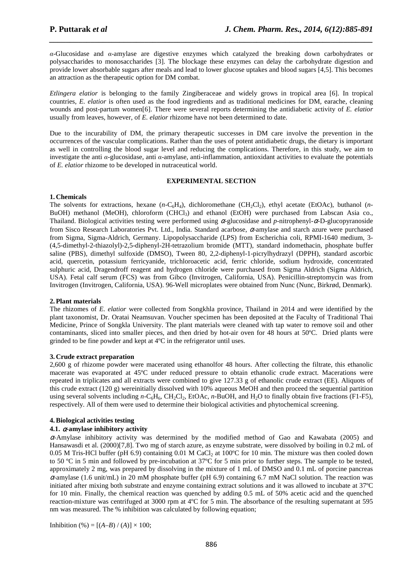*α*-Glucosidase and *α*-amylase are digestive enzymes which catalyzed the breaking down carbohydrates or polysaccharides to monosaccharides [3]. The blockage these enzymes can delay the carbohydrate digestion and provide lower absorbable sugars after meals and lead to lower glucose uptakes and blood sugars [4,5]. This becomes an attraction as the therapeutic option for DM combat.

*\_\_\_\_\_\_\_\_\_\_\_\_\_\_\_\_\_\_\_\_\_\_\_\_\_\_\_\_\_\_\_\_\_\_\_\_\_\_\_\_\_\_\_\_\_\_\_\_\_\_\_\_\_\_\_\_\_\_\_\_\_\_\_\_\_\_\_\_\_\_\_\_\_\_\_\_\_\_*

*Etlingera elatior* is belonging to the family Zingiberaceae and widely grows in tropical area [6]. In tropical countries, *E. elatior* is often used as the food ingredients and as traditional medicines for DM, earache, cleaning wounds and post-partum women<sup>[6]</sup>. There were several reports determining the antidiabetic activity of *E. elatior* usually from leaves, however, of *E. elatior* rhizome have not been determined to date.

Due to the incurability of DM, the primary therapeutic successes in DM care involve the prevention in the occurrences of the vascular complications. Rather than the uses of potent antidiabetic drugs, the dietary is important as well in controlling the blood sugar level and reducing the complications. Therefore, in this study, we aim to investigate the anti *α*-glucosidase, anti *α*-amylase, anti-inflammation, antioxidant activities to evaluate the potentials of *E. elatior* rhizome to be developed in nutraceutical world.

#### **EXPERIMENTAL SECTION**

### **1. Chemicals**

The solvents for extractions, hexane  $(n-C<sub>6</sub>H<sub>4</sub>)$ , dichloromethane (CH<sub>2</sub>Cl<sub>2</sub>), ethyl acetate (EtOAc), buthanol (*n*-BuOH) methanol (MeOH), chloroform (CHCl<sub>3</sub>) and ethanol (EtOH) were purchased from Labscan Asia co., Thailand. Biological activities testing were performed using α-glucosidase and *p*-nitrophenyl-α-D-glucopyranoside from Sisco Research Laboratories Pvt. Ltd., India. Standard acarbose, α-amylase and starch azure were purchased from Sigma, Sigma-Aldrich, Germany. Lipopolysaccharide (LPS) from Escherichia coli, RPMI-1640 medium, 3- (4,5-dimethyl-2-thiazolyl)-2,5-diphenyl-2H-tetrazolium bromide (MTT), standard indomethacin, phosphate buffer saline (PBS), dimethyl sulfoxide (DMSO), Tween 80, 2,2-diphenyl-1-picrylhydrazyl (DPPH), standard ascorbic acid, quercetin, potassium ferricyanide, trichloroacetic acid, ferric chloride, sodium hydroxide, concentrated sulphuric acid, Dragendroff reagent and hydrogen chloride were purchased from Sigma Aldrich (Sigma Aldrich, USA). Fetal calf serum (FCS) was from Gibco (Invitrogen, California, USA). Penicillin-streptomycin was from Invitrogen (Invitrogen, California, USA). 96-Well microplates were obtained from Nunc (Nunc, Birkrød, Denmark).

#### **2.Plant materials**

The rhizomes of *E. elatior* were collected from Songkhla province, Thailand in 2014 and were identified by the plant taxonomist, Dr. Oratai Neamsuvan. Voucher specimen has been deposited at the Faculty of Traditional Thai Medicine, Prince of Songkla University. The plant materials were cleaned with tap water to remove soil and other contaminants, sliced into smaller pieces, and then dried by hot-air oven for 48 hours at 50ºC. Dried plants were grinded to be fine powder and kept at 4ºC in the refrigerator until uses.

#### **3. Crude extract preparation**

2,600 g of rhizome powder were macerated using ethanolfor 48 hours. After collecting the filtrate, this ethanolic macerate was evaporated at 45ºC under reduced pressure to obtain ethanolic crude extract. Macerations were repeated in triplicates and all extracts were combined to give 127.33 g of ethanolic crude extract (EE). Aliquots of this crude extract (120 g) wereinitially dissolved with 10% aqueous MeOH and then proceed the sequential partition using several solvents including *n*-C<sub>6</sub>H<sub>6</sub>, CH<sub>2</sub>Cl<sub>2</sub>, EtOAc, *n*-BuOH, and H<sub>2</sub>O to finally obtain five fractions (F1-F5), respectively. All of them were used to determine their biological activities and phytochemical screening.

#### **4.Biological activities testing**

#### **4.1.** <sup>α</sup>**-amylase inhibitory activity**

 $\alpha$ -Amylase inhibitory activity was determined by the modified method of Gao and Kawabata (2005) and Hansawasdi et al. (2000)[7,8]. Two mg of starch azure, as enzyme substrate, were dissolved by boiling in 0.2 mL of 0.05 M Tris-HCl buffer (pH 6.9) containing 0.01 M CaCl<sub>2</sub> at 100°C for 10 min. The mixture was then cooled down to 50 ºC in 5 min and followed by pre-incubation at 37ºC for 5 min prior to further steps. The sample to be tested, approximately 2 mg, was prepared by dissolving in the mixture of 1 mL of DMSO and 0.1 mL of porcine pancreas  $\alpha$ -amylase (1.6 unit/mL) in 20 mM phosphate buffer (pH 6.9) containing 6.7 mM NaCl solution. The reaction was initiated after mixing both substrate and enzyme containing extract solutions and it was allowed to incubate at 37ºC for 10 min. Finally, the chemical reaction was quenched by adding 0.5 mL of 50% acetic acid and the quenched reaction-mixture was centrifuged at 3000 rpm at 4ºC for 5 min. The absorbance of the resulting supernatant at 595 nm was measured. The % inhibition was calculated by following equation;

Inhibition (%) = 
$$
[(A-B) / (A)] \times 100;
$$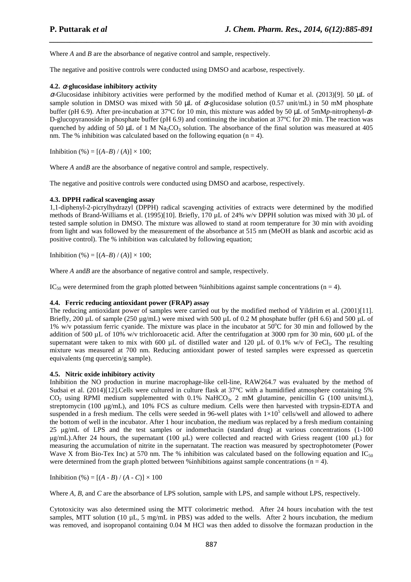Where *A* and *B* are the absorbance of negative control and sample, respectively.

The negative and positive controls were conducted using DMSO and acarbose, respectively.

### **4.2.** <sup>α</sup>**-glucosidase inhibitory activity**

α-Glucosidase inhibitory activities were performed by the modified method of Kumar et al. (2013)[9]. 50 μL of sample solution in DMSO was mixed with 50 µL of  $\alpha$ -glucosidase solution (0.57 unit/mL) in 50 mM phosphate buffer (pH 6.9). After pre-incubation at 37ºC for 10 min, this mixture was added by 50 µL of 5mM*p*-nitrophenyl-α-D-glucopyranoside in phosphate buffer (pH 6.9) and continuing the incubation at  $37^{\circ}$ C for 20 min. The reaction was quenched by adding of 50 µL of 1 M Na<sub>2</sub>CO<sub>3</sub> solution. The absorbance of the final solution was measured at 405 nm. The % inhibition was calculated based on the following equation ( $n = 4$ ).

*\_\_\_\_\_\_\_\_\_\_\_\_\_\_\_\_\_\_\_\_\_\_\_\_\_\_\_\_\_\_\_\_\_\_\_\_\_\_\_\_\_\_\_\_\_\_\_\_\_\_\_\_\_\_\_\_\_\_\_\_\_\_\_\_\_\_\_\_\_\_\_\_\_\_\_\_\_\_*

Inhibition (%) =  $[(A-B)/(A)] \times 100$ ;

Where *A* and*B* are the absorbance of negative control and sample, respectively.

The negative and positive controls were conducted using DMSO and acarbose, respectively.

#### **4.3. DPPH radical scavenging assay**

1,1-diphenyl-2-picrylhydrazyl (DPPH) radical scavenging activities of extracts were determined by the modified methods of Brand-Williams et al. (1995)[10]. Briefly, 170 µL of 24% w/v DPPH solution was mixed with 30 µL of tested sample solution in DMSO. The mixture was allowed to stand at room temperature for 30 min with avoiding from light and was followed by the measurement of the absorbance at 515 nm (MeOH as blank and ascorbic acid as positive control). The % inhibition was calculated by following equation;

Inhibition (%) =  $[(A-B)/(A)] \times 100$ ;

Where *A* and*B* are the absorbance of negative control and sample, respectively.

IC<sub>50</sub> were determined from the graph plotted between % inhibitions against sample concentrations (n = 4).

#### **4.4. Ferric reducing antioxidant power (FRAP) assay**

The reducing antioxidant power of samples were carried out by the modified method of Yildirim et al. (2001)[11]. Briefly, 200 µL of sample (250 µg/mL) were mixed with 500 µL of 0.2 M phosphate buffer (pH 6.6) and 500 µL of 1% w/v potassium ferric cyanide. The mixture was place in the incubator at  $50^{\circ}$ C for 30 min and followed by the addition of 500  $\mu$ L of 10% w/v trichloroacetic acid. After the centrifugation at 3000 rpm for 30 min, 600  $\mu$ L of the supernatant were taken to mix with 600 µL of distilled water and 120 µL of 0.1% w/v of FeCl<sub>3</sub>. The resulting mixture was measured at 700 nm. Reducing antioxidant power of tested samples were expressed as quercetin equivalents (mg quercetin/g sample).

#### **4.5. Nitric oxide inhibitory activity**

Inhibition the NO production in murine macrophage-like cell-line, RAW264.7 was evaluated by the method of Sudsai et al. (2014)[12].Cells were cultured in culture flask at 37°C with a humidified atmosphere containing 5%  $CO<sub>2</sub>$  using RPMI medium supplemented with 0.1% NaHCO<sub>3</sub>, 2 mM glutamine, penicillin G (100 units/mL), streptomycin (100 µg/mL), and 10% FCS as culture medium. Cells were then harvested with trypsin-EDTA and suspended in a fresh medium. The cells were seeded in 96-well plates with  $1\times10^5$  cells/well and allowed to adhere the bottom of well in the incubator. After 1 hour incubation, the medium was replaced by a fresh medium containing 25 µg/mL of LPS and the test samples or indomethacin (standard drug) at various concentrations (1-100 µg/mL).After 24 hours, the supernatant (100 µL) were collected and reacted with Griess reagent (100 µL) for measuring the accumulation of nitrite in the supernatant. The reaction was measured by spectrophotometer (Power Wave X from Bio-Tex Inc) at 570 nm. The % inhibition was calculated based on the following equation and IC<sub>50</sub> were determined from the graph plotted between % inhibitions against sample concentrations ( $n = 4$ ).

Inhibition (%) =  $[(A - B) / (A - C)] \times 100$ 

Where *A*, *B*, and *C* are the absorbance of LPS solution, sample with LPS, and sample without LPS, respectively.

Cytotoxicity was also determined using the MTT colorimetric method. After 24 hours incubation with the test samples, MTT solution (10  $\mu$ L, 5 mg/mL in PBS) was added to the wells. After 2 hours incubation, the medium was removed, and isopropanol containing 0.04 M HCl was then added to dissolve the formazan production in the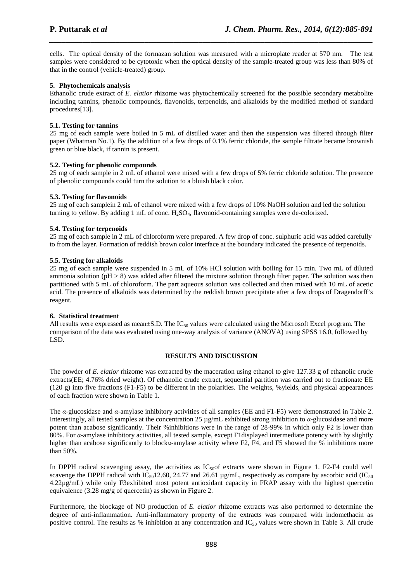cells. The optical density of the formazan solution was measured with a microplate reader at 570 nm. The test samples were considered to be cytotoxic when the optical density of the sample-treated group was less than 80% of that in the control (vehicle-treated) group.

*\_\_\_\_\_\_\_\_\_\_\_\_\_\_\_\_\_\_\_\_\_\_\_\_\_\_\_\_\_\_\_\_\_\_\_\_\_\_\_\_\_\_\_\_\_\_\_\_\_\_\_\_\_\_\_\_\_\_\_\_\_\_\_\_\_\_\_\_\_\_\_\_\_\_\_\_\_\_*

#### **5. Phytochemicals analysis**

Ethanolic crude extract of *E. elatior* rhizome was phytochemically screened for the possible secondary metabolite including tannins, phenolic compounds, flavonoids, terpenoids, and alkaloids by the modified method of standard procedures[13].

#### **5.1. Testing for tannins**

25 mg of each sample were boiled in 5 mL of distilled water and then the suspension was filtered through filter paper (Whatman No.1). By the addition of a few drops of 0.1% ferric chloride, the sample filtrate became brownish green or blue black, if tannin is present.

### **5.2. Testing for phenolic compounds**

25 mg of each sample in 2 mL of ethanol were mixed with a few drops of 5% ferric chloride solution. The presence of phenolic compounds could turn the solution to a bluish black color.

### **5.3. Testing for flavonoids**

25 mg of each samplein 2 mL of ethanol were mixed with a few drops of 10% NaOH solution and led the solution turning to yellow. By adding 1 mL of conc. H<sub>2</sub>SO<sub>4</sub>, flavonoid-containing samples were de-colorized.

#### **5.4. Testing for terpenoids**

25 mg of each sample in 2 mL of chloroform were prepared. A few drop of conc. sulphuric acid was added carefully to from the layer. Formation of reddish brown color interface at the boundary indicated the presence of terpenoids.

#### **5.5. Testing for alkaloids**

25 mg of each sample were suspended in 5 mL of 10% HCl solution with boiling for 15 min. Two mL of diluted ammonia solution ( $pH > 8$ ) was added after filtered the mixture solution through filter paper. The solution was then partitioned with 5 mL of chloroform. The part aqueous solution was collected and then mixed with 10 mL of acetic acid. The presence of alkaloids was determined by the reddish brown precipitate after a few drops of Dragendorff's reagent.

#### **6. Statistical treatment**

All results were expressed as mean $\pm$ S.D. The IC<sub>50</sub> values were calculated using the Microsoft Excel program. The comparison of the data was evaluated using one-way analysis of variance (ANOVA) using SPSS 16.0, followed by LSD.

#### **RESULTS AND DISCUSSION**

The powder of *E. elatior* rhizome was extracted by the maceration using ethanol to give 127.33 g of ethanolic crude extracts(EE; 4.76% dried weight). Of ethanolic crude extract, sequential partition was carried out to fractionate EE  $(120 \text{ g})$  into five fractions  $(F1-F5)$  to be different in the polarities. The weights, % yields, and physical appearances of each fraction were shown in Table 1.

The *α*-glucosidase and *α*-amylase inhibitory activities of all samples (EE and F1-F5) were demonstrated in Table 2. Interestingly, all tested samples at the concentration 25 µg/mL exhibited strong inhibition to *α*-glucosidase and more potent than acabose significantly. Their %inhibitions were in the range of 28-99% in which only F2 is lower than 80%. For *α*-amylase inhibitory activities, all tested sample, except F1displayed intermediate potency with by slightly higher than acabose significantly to block*α*-amylase activity where F2, F4, and F5 showed the % inhibitions more than 50%.

In DPPH radical scavenging assay, the activities as  $IC_{50}$  extracts were shown in Figure 1. F2-F4 could well scavenge the DPPH radical with IC<sub>50</sub>12.60, 24.77 and 26.61  $\mu$ g/mL, respectively as compare by ascorbic acid (IC<sub>50</sub>) 4.22µg/mL) while only F3exhibited most potent antioxidant capacity in FRAP assay with the highest quercetin equivalence (3.28 mg/g of quercetin) as shown in Figure 2.

Furthermore, the blockage of NO production of *E. elatior* rhizome extracts was also performed to determine the degree of anti-inflammation. Anti-inflammatory property of the extracts was compared with indomethacin as positive control. The results as % inhibition at any concentration and  $IC_{50}$  values were shown in Table 3. All crude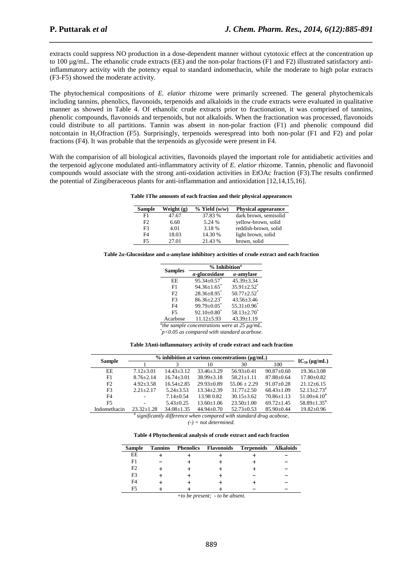extracts could suppress NO production in a dose-dependent manner without cytotoxic effect at the concentration up to 100  $\mu$ g/mL. The ethanolic crude extracts (EE) and the non-polar fractions (F1 and F2) illustrated satisfactory antiinflammatory activity with the potency equal to standard indomethacin, while the moderate to high polar extracts (F3-F5) showed the moderate activity.

*\_\_\_\_\_\_\_\_\_\_\_\_\_\_\_\_\_\_\_\_\_\_\_\_\_\_\_\_\_\_\_\_\_\_\_\_\_\_\_\_\_\_\_\_\_\_\_\_\_\_\_\_\_\_\_\_\_\_\_\_\_\_\_\_\_\_\_\_\_\_\_\_\_\_\_\_\_\_*

The phytochemical compositions of *E. elatior* rhizome were primarily screened. The general phytochemicals including tannins, phenolics, flavonoids, terpenoids and alkaloids in the crude extracts were evaluated in qualitative manner as showed in Table 4. Of ethanolic crude extracts prior to fractionation, it was comprised of tannins, phenolic compounds, flavonoids and terpenoids, but not alkaloids. When the fractionation was processed, flavonoids could distribute to all partitions. Tannin was absent in non-polar fraction (F1) and phenolic compound did notcontain in H2Ofraction (F5). Surprisingly, terpenoids werespread into both non-polar (F1 and F2) and polar fractions (F4). It was probable that the terpenoids as glycoside were present in F4.

With the comparision of all biological activities, flavonoids played the important role for antidiabetic activities and the terpenoid aglycone modulated anti-inflammatory activity of *E. elatior* rhizome. Tannin, phenolic and flavonoid compounds would associate with the strong anti-oxidation activities in EtOAc fraction (F3).The results confirmed the potential of Zingiberaceous plants for anti-inflammation and antioxidation [12,14,15,16].

| Table 1The amounts of each fraction and their physical appearances |  |  |  |  |  |
|--------------------------------------------------------------------|--|--|--|--|--|
|--------------------------------------------------------------------|--|--|--|--|--|

| <b>Sample</b>  | Weight (g) | $%$ Yield $(w/w)$ | <b>Physical appearance</b> |
|----------------|------------|-------------------|----------------------------|
| F <sub>1</sub> | 47.67      | 37.83 %           | dark brown, semisolid      |
| F2             | 6.60       | 5.24 %            | yellow-brown, solid        |
| F <sub>3</sub> | 4.01       | 3.18 %            | reddish-brown, solid       |
| F4             | 18.03      | 14.30 %           | light brown, solid         |
| F5             | 27.01      | 21.43 %           | brown, solid               |

**Table 2***α***-Glucosidase and** *α***-amylase inhibitory activities of crude extract and each fraction** 

|                | % Inhibition <sup>a</sup>     |                               |  |  |
|----------------|-------------------------------|-------------------------------|--|--|
| <b>Samples</b> | $\alpha$ -glucosidase         | $\alpha$ -amylase             |  |  |
| FF.            | $95.34 + 0.57$                | $45.39 \pm 3.34$              |  |  |
| F1             | $94.36 \pm 1.65$ <sup>*</sup> | $35.91 \pm 2.52$ <sup>*</sup> |  |  |
| F2             | $28.36 \pm 8.95$ <sup>*</sup> | $50.77 \pm 2.52$ <sup>*</sup> |  |  |
| F <sup>3</sup> | $86.36 \pm 2.23$ <sup>*</sup> | $43.56 \pm 3.46$              |  |  |
| F4             | $99.79 \pm 0.05$              | $55.31 \pm 0.96$              |  |  |
| F5             | $92.10\pm0.80^*$              | $58.13 \pm 2.70$ <sup>*</sup> |  |  |
| Acarbose       | $11.12 \pm 5.93$              | 43.39±1.19                    |  |  |
|                |                               |                               |  |  |

*a the sample concentrations were at 25 µg/mL.* 

*\* p<0.05 as compared with standard acarbose.* 

**Table 3Anti-inflammatory activity of crude extract and each fraction** 

| <b>Sample</b>                                                      | $\%$ inhibition at various concentrations ( $\mu$ g/mL) |                  |                |                  |                  |                             |
|--------------------------------------------------------------------|---------------------------------------------------------|------------------|----------------|------------------|------------------|-----------------------------|
|                                                                    |                                                         |                  | 10             | 30               | 100              | $IC_{50}$ (µg/mL)           |
| EE                                                                 | $7.12 + 3.01$                                           | $14.43 + 3.12$   | $33.46 + 3.29$ | $56.93+0.41$     | $90.87 + 0.60$   | $19.36 + 3.08$              |
| F1                                                                 | $8.76 + 2.14$                                           | $16.74 + 3.01$   | $38.99 + 3.18$ | $58.21 + 1.11$   | $87.88 + 0.64$   | $17.80 \pm 0.82$            |
| F2                                                                 | $4.92 + 3.58$                                           | $16.54 + 2.85$   | $29.93+0.89$   | $55.06 + 2.29$   | $91.07+0.28$     | $21.12 + 6.15$              |
| F <sub>3</sub>                                                     | $2.21 + 2.17$                                           | $5.24 + 3.53$    | $13.34 + 2.39$ | $31.77 + 2.50$   | $68.43+1.09$     | $52.13 + 2.73$ <sup>#</sup> |
| F4                                                                 | $\overline{\phantom{a}}$                                | $7.14 + 0.54$    | 13.98 0.82     | $30.15 + 3.62$   | $70.86 + 1.13$   | $51.00 + 4.10$ <sup>#</sup> |
| F <sub>5</sub>                                                     |                                                         | $5.43+0.25$      | $13.60 + 1.06$ | $23.50+1.00$     | $69.72 + 1.45$   | $58.89 + 1.35$ <sup>#</sup> |
| Indomethacin                                                       | $23.32 + 1.28$                                          | $34.08 \pm 1.35$ | $44.94 + 0.70$ | $52.73 \pm 0.53$ | $85.90 \pm 0.44$ | $19.82 \pm 0.96$            |
| f gianthogythy difference when compared with standard drug goabose |                                                         |                  |                |                  |                  |                             |

 *significantly difference when compared with standard drug acabose, (-) = not determined.* 

**Table 4 Phytochemical analysis of crude extract and each fraction** 

| <b>Sample</b>                     | <b>Tannins</b> |  |  | <b>Phenolics Flavonoids Terpenoids Alkaloids</b> |  |  |
|-----------------------------------|----------------|--|--|--------------------------------------------------|--|--|
| EE                                |                |  |  |                                                  |  |  |
| F1                                |                |  |  |                                                  |  |  |
| F <sub>2</sub>                    |                |  |  |                                                  |  |  |
| F <sub>3</sub>                    |                |  |  |                                                  |  |  |
| F4                                |                |  |  |                                                  |  |  |
| F5                                |                |  |  |                                                  |  |  |
| +to be present; $-$ to be absent. |                |  |  |                                                  |  |  |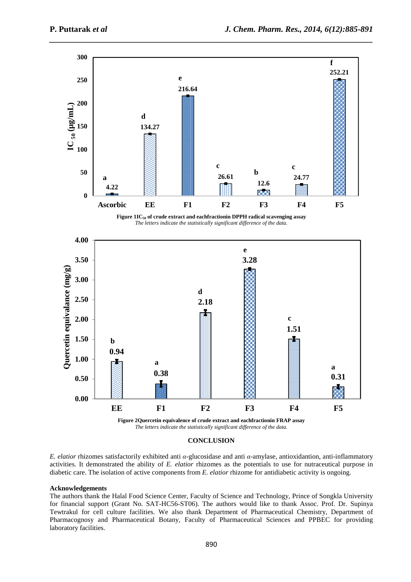

#### **CONCLUSION**

*E. elatior* rhizomes satisfactorily exhibited anti *α*-glucosidase and anti *α*-amylase, antioxidantion, anti-inflammatory activities. It demonstrated the ability of *E. elatior* rhizomes as the potentials to use for nutraceutical purpose in diabetic care. The isolation of active components from *E. elatior* rhizome for antidiabetic activity is ongoing.

#### **Acknowledgements**

The authors thank the Halal Food Science Center, Faculty of Science and Technology, Prince of Songkla University for financial support (Grant No. SAT-HC56-ST06). The authors would like to thank Assoc. Prof. Dr. Supinya Tewtrakul for cell culture facilities. We also thank Department of Pharmaceutical Chemistry, Department of Pharmacognosy and Pharmaceutical Botany, Faculty of Pharmaceutical Sciences and PPBEC for providing laboratory facilities.